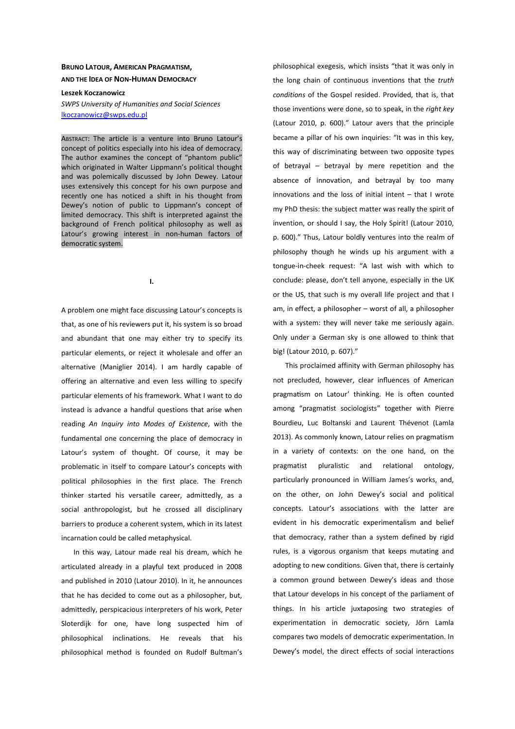## **BRUNO LATOUR, AMERICAN PRAGMATISM, AND THE IDEA OF NON-HUMAN DEMOCRACY**

## **Leszek Koczanowicz**

*SWPS University of Humanities and Social Sciences*  lkoczanowicz@swps.edu.pl

ABSTRACT: The article is a venture into Bruno Latour's concept of politics especially into his idea of democracy. The author examines the concept of "phantom public" which originated in Walter Lippmann's political thought and was polemically discussed by John Dewey. Latour uses extensively this concept for his own purpose and recently one has noticed a shift in his thought from Dewey's notion of public to Lippmann's concept of limited democracy. This shift is interpreted against the background of French political philosophy as well as Latour's growing interest in non-human factors of democratic system.

**I.** 

A problem one might face discussing Latour's concepts is that, as one of his reviewers put it, his system is so broad and abundant that one may either try to specify its particular elements, or reject it wholesale and offer an alternative (Maniglier 2014). I am hardly capable of offering an alternative and even less willing to specify particular elements of his framework. What I want to do instead is advance a handful questions that arise when reading *An Inquiry into Modes of Existence*, with the fundamental one concerning the place of democracy in Latour's system of thought. Of course, it may be problematic in itself to compare Latour's concepts with political philosophies in the first place. The French thinker started his versatile career, admittedly, as a social anthropologist, but he crossed all disciplinary barriers to produce a coherent system, which in its latest incarnation could be called metaphysical.

In this way, Latour made real his dream, which he articulated already in a playful text produced in 2008 and published in 2010 (Latour 2010). In it, he announces that he has decided to come out as a philosopher, but, admittedly, perspicacious interpreters of his work, Peter Sloterdijk for one, have long suspected him of philosophical inclinations. He reveals that his philosophical method is founded on Rudolf Bultman's philosophical exegesis, which insists "that it was only in the long chain of continuous inventions that the *truth conditions* of the Gospel resided. Provided, that is, that those inventions were done, so to speak, in the *right key* (Latour 2010, p. 600)." Latour avers that the principle became a pillar of his own inquiries: "It was in this key, this way of discriminating between two opposite types of betrayal – betrayal by mere repetition and the absence of innovation, and betrayal by too many innovations and the loss of initial intent – that I wrote my PhD thesis: the subject matter was really the spirit of invention, or should I say, the Holy Spirit! (Latour 2010, p. 600)." Thus, Latour boldly ventures into the realm of philosophy though he winds up his argument with a tongue-in-cheek request: "A last wish with which to conclude: please, don't tell anyone, especially in the UK or the US, that such is my overall life project and that I am, in effect, a philosopher – worst of all, a philosopher with a system: they will never take me seriously again. Only under a German sky is one allowed to think that big! (Latour 2010, p. 607)."

This proclaimed affinity with German philosophy has not precluded, however, clear influences of American pragmatism on Latour' thinking. He is often counted among "pragmatist sociologists" together with Pierre Bourdieu, Luc Boltanski and Laurent Thévenot (Lamla 2013). As commonly known, Latour relies on pragmatism in a variety of contexts: on the one hand, on the pragmatist pluralistic and relational ontology, particularly pronounced in William James's works, and, on the other, on John Dewey's social and political concepts. Latour's associations with the latter are evident in his democratic experimentalism and belief that democracy, rather than a system defined by rigid rules, is a vigorous organism that keeps mutating and adopting to new conditions. Given that, there is certainly a common ground between Dewey's ideas and those that Latour develops in his concept of the parliament of things. In his article juxtaposing two strategies of experimentation in democratic society, Jörn Lamla compares two models of democratic experimentation. In Dewey's model, the direct effects of social interactions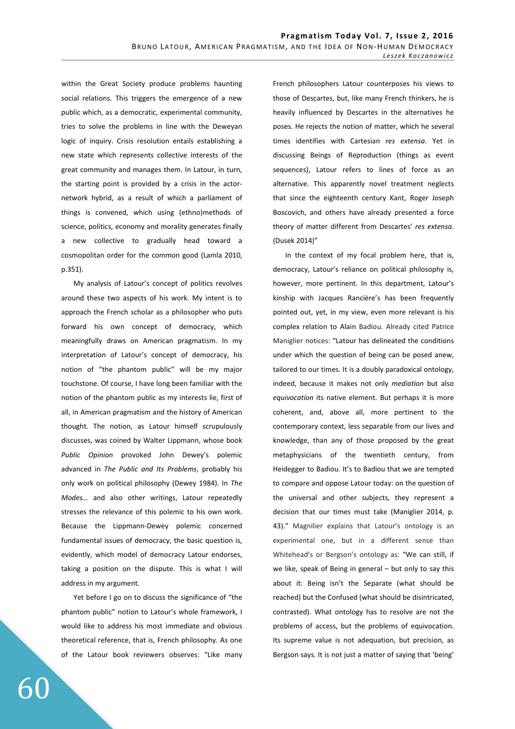within the Great Society produce problems haunting social relations. This triggers the emergence of a new public which, as a democratic, experimental community, tries to solve the problems in line with the Deweyan logic of inquiry. Crisis resolution entails establishing a new state which represents collective interests of the great community and manages them. In Latour, in turn, the starting point is provided by a crisis in the actornetwork hybrid, as a result of which a parliament of things is convened, which using (ethno)methods of science, politics, economy and morality generates finally a new collective to gradually head toward a cosmopolitan order for the common good (Lamla 2010, p.351).

My analysis of Latour's concept of politics revolves around these two aspects of his work. My intent is to approach the French scholar as a philosopher who puts forward his own concept of democracy, which meaningfully draws on American pragmatism. In my interpretation of Latour's concept of democracy, his notion of "the phantom public" will be my major touchstone. Of course, I have long been familiar with the notion of the phantom public as my interests lie, first of all, in American pragmatism and the history of American thought. The notion, as Latour himself scrupulously discusses, was coined by Walter Lippmann, whose book *Public Opinion* provoked John Dewey's polemic advanced in *The Public and Its Problems*, probably his only work on political philosophy (Dewey 1984). In *The Modes…* and also other writings, Latour repeatedly stresses the relevance of this polemic to his own work. Because the Lippmann-Dewey polemic concerned fundamental issues of democracy, the basic question is, evidently, which model of democracy Latour endorses, taking a position on the dispute. This is what I will address in my argument.

Yet before I go on to discuss the significance of "the phantom public" notion to Latour's whole framework, I would like to address his most immediate and obvious theoretical reference, that is, French philosophy. As one of the Latour book reviewers observes: "Like many French philosophers Latour counterposes his views to those of Descartes, but, like many French thinkers, he is heavily influenced by Descartes in the alternatives he poses. He rejects the notion of matter, which he several times identifies with Cartesian *res extensa*. Yet in discussing Beings of Reproduction (things as event sequences), Latour refers to lines of force as an alternative. This apparently novel treatment neglects that since the eighteenth century Kant, Roger Joseph Boscovich, and others have already presented a force theory of matter different from Descartes' *res extensa*. (Dusek 2014)"

In the context of my focal problem here, that is, democracy, Latour's reliance on political philosophy is, however, more pertinent. In this department, Latour's kinship with Jacques Rancière's has been frequently pointed out, yet, in my view, even more relevant is his complex relation to Alain Badiou. Already cited Patrice Maniglier notices: "Latour has delineated the conditions under which the question of being can be posed anew, tailored to our times. It is a doubly paradoxical ontology, indeed, because it makes not only *mediation* but also *equivocation* its native element. But perhaps it is more coherent, and, above all, more pertinent to the contemporary context, less separable from our lives and knowledge, than any of those proposed by the great metaphysicians of the twentieth century, from Heidegger to Badiou. It's to Badiou that we are tempted to compare and oppose Latour today: on the question of the universal and other subjects, they represent a decision that our times must take (Maniglier 2014, p. 43)." Magnilier explains that Latour's ontology is an experimental one, but in a different sense than Whitehead's or Bergson's ontology as: "We can still, if we like, speak of Being in general – but only to say this about it: Being isn't the Separate (what should be reached) but the Confused (what should be disintricated, contrasted). What ontology has to resolve are not the problems of access, but the problems of equivocation. Its supreme value is not adequation, but precision, as Bergson says. It is not just a matter of saying that 'being'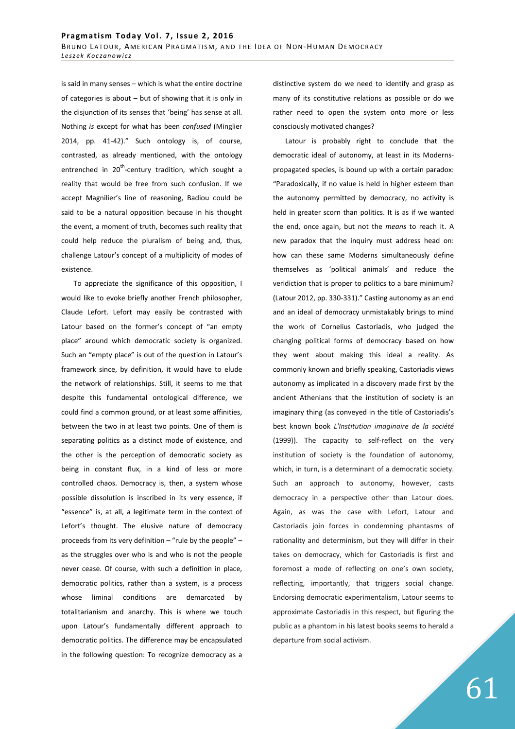is said in many senses – which is what the entire doctrine of categories is about – but of showing that it is only in the disjunction of its senses that 'being' has sense at all. Nothing *is* except for what has been *confused* (Minglier 2014, pp. 41-42)." Such ontology is, of course, contrasted, as already mentioned, with the ontology entrenched in  $20^{th}$ -century tradition, which sought a reality that would be free from such confusion. If we accept Magnilier's line of reasoning, Badiou could be said to be a natural opposition because in his thought the event, a moment of truth, becomes such reality that could help reduce the pluralism of being and, thus, challenge Latour's concept of a multiplicity of modes of existence.

To appreciate the significance of this opposition, I would like to evoke briefly another French philosopher, Claude Lefort. Lefort may easily be contrasted with Latour based on the former's concept of "an empty place" around which democratic society is organized. Such an "empty place" is out of the question in Latour's framework since, by definition, it would have to elude the network of relationships. Still, it seems to me that despite this fundamental ontological difference, we could find a common ground, or at least some affinities, between the two in at least two points. One of them is separating politics as a distinct mode of existence, and the other is the perception of democratic society as being in constant flux, in a kind of less or more controlled chaos. Democracy is, then, a system whose possible dissolution is inscribed in its very essence, if "essence" is, at all, a legitimate term in the context of Lefort's thought. The elusive nature of democracy proceeds from its very definition – "rule by the people" – as the struggles over who is and who is not the people never cease. Of course, with such a definition in place, democratic politics, rather than a system, is a process whose liminal conditions are demarcated by totalitarianism and anarchy. This is where we touch upon Latour's fundamentally different approach to democratic politics. The difference may be encapsulated in the following question: To recognize democracy as a distinctive system do we need to identify and grasp as many of its constitutive relations as possible or do we rather need to open the system onto more or less consciously motivated changes?

Latour is probably right to conclude that the democratic ideal of autonomy, at least in its Modernspropagated species, is bound up with a certain paradox: "Paradoxically, if no value is held in higher esteem than the autonomy permitted by democracy, no activity is held in greater scorn than politics. It is as if we wanted the end, once again, but not the *means* to reach it. A new paradox that the inquiry must address head on: how can these same Moderns simultaneously define themselves as 'political animals' and reduce the veridiction that is proper to politics to a bare minimum? (Latour 2012, pp. 330-331)." Casting autonomy as an end and an ideal of democracy unmistakably brings to mind the work of Cornelius Castoriadis, who judged the changing political forms of democracy based on how they went about making this ideal a reality. As commonly known and briefly speaking, Castoriadis views autonomy as implicated in a discovery made first by the ancient Athenians that the institution of society is an imaginary thing (as conveyed in the title of Castoriadis's best known book *L'Institution imaginaire de la société*  (1999)). The capacity to self-reflect on the very institution of society is the foundation of autonomy, which, in turn, is a determinant of a democratic society. Such an approach to autonomy, however, casts democracy in a perspective other than Latour does. Again, as was the case with Lefort, Latour and Castoriadis join forces in condemning phantasms of rationality and determinism, but they will differ in their takes on democracy, which for Castoriadis is first and foremost a mode of reflecting on one's own society, reflecting, importantly, that triggers social change. Endorsing democratic experimentalism, Latour seems to approximate Castoriadis in this respect, but figuring the public as a phantom in his latest books seems to herald a departure from social activism.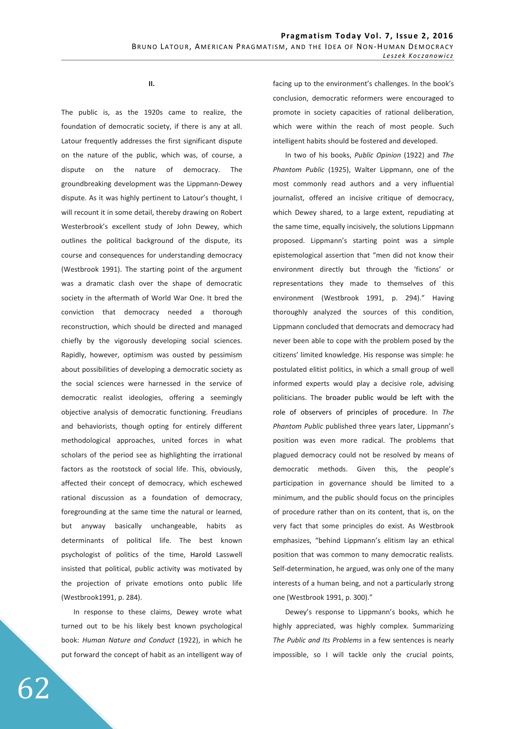**II.** 

The public is, as the 1920s came to realize, the foundation of democratic society, if there is any at all. Latour frequently addresses the first significant dispute on the nature of the public, which was, of course, a dispute on the nature of democracy. The groundbreaking development was the Lippmann-Dewey dispute. As it was highly pertinent to Latour's thought, I will recount it in some detail, thereby drawing on Robert Westerbrook's excellent study of John Dewey, which outlines the political background of the dispute, its course and consequences for understanding democracy (Westbrook 1991). The starting point of the argument was a dramatic clash over the shape of democratic society in the aftermath of World War One. It bred the conviction that democracy needed a thorough reconstruction, which should be directed and managed chiefly by the vigorously developing social sciences. Rapidly, however, optimism was ousted by pessimism about possibilities of developing a democratic society as the social sciences were harnessed in the service of democratic realist ideologies, offering a seemingly objective analysis of democratic functioning. Freudians and behaviorists, though opting for entirely different methodological approaches, united forces in what scholars of the period see as highlighting the irrational factors as the rootstock of social life. This, obviously, affected their concept of democracy, which eschewed rational discussion as a foundation of democracy, foregrounding at the same time the natural or learned, but anyway basically unchangeable, habits as determinants of political life. The best known psychologist of politics of the time, Harold Lasswell insisted that political, public activity was motivated by the projection of private emotions onto public life (Westbrook1991, p. 284).

In response to these claims, Dewey wrote what turned out to be his likely best known psychological book: *Human Nature and Conduct* (1922), in which he put forward the concept of habit as an intelligent way of facing up to the environment's challenges. In the book's conclusion, democratic reformers were encouraged to promote in society capacities of rational deliberation, which were within the reach of most people. Such intelligent habits should be fostered and developed.

In two of his books, *Public Opinion* (1922) and *The Phantom Public* (1925), Walter Lippmann, one of the most commonly read authors and a very influential journalist, offered an incisive critique of democracy, which Dewey shared, to a large extent, repudiating at the same time, equally incisively, the solutions Lippmann proposed. Lippmann's starting point was a simple epistemological assertion that "men did not know their environment directly but through the 'fictions' or representations they made to themselves of this environment (Westbrook 1991, p. 294)." Having thoroughly analyzed the sources of this condition, Lippmann concluded that democrats and democracy had never been able to cope with the problem posed by the citizens' limited knowledge. His response was simple: he postulated elitist politics, in which a small group of well informed experts would play a decisive role, advising politicians. The broader public would be left with the role of observers of principles of procedure. In *The Phantom Public* published three years later, Lippmann's position was even more radical. The problems that plagued democracy could not be resolved by means of democratic methods. Given this, the people's participation in governance should be limited to a minimum, and the public should focus on the principles of procedure rather than on its content, that is, on the very fact that some principles do exist. As Westbrook emphasizes, "behind Lippmann's elitism lay an ethical position that was common to many democratic realists. Self-determination, he argued, was only one of the many interests of a human being, and not a particularly strong one (Westbrook 1991, p. 300)."

Dewey's response to Lippmann's books, which he highly appreciated, was highly complex. Summarizing *The Public and Its Problems* in a few sentences is nearly impossible, so I will tackle only the crucial points,

62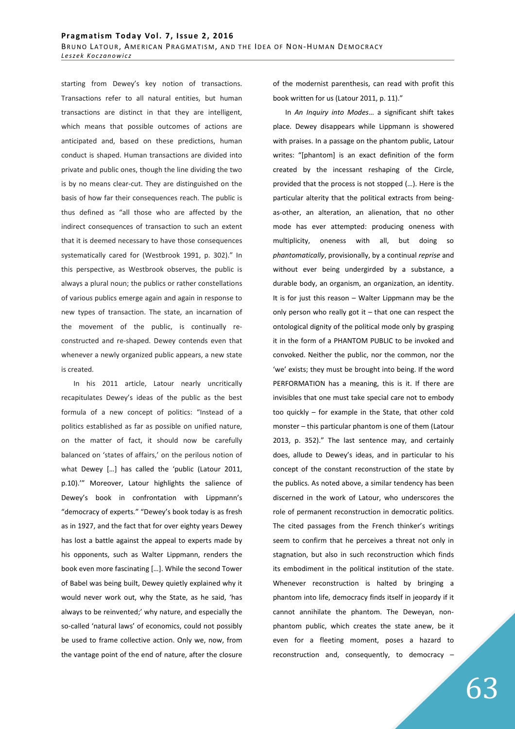starting from Dewey's key notion of transactions. Transactions refer to all natural entities, but human transactions are distinct in that they are intelligent, which means that possible outcomes of actions are anticipated and, based on these predictions, human conduct is shaped. Human transactions are divided into private and public ones, though the line dividing the two is by no means clear-cut. They are distinguished on the basis of how far their consequences reach. The public is thus defined as "all those who are affected by the indirect consequences of transaction to such an extent that it is deemed necessary to have those consequences systematically cared for (Westbrook 1991, p. 302)." In this perspective, as Westbrook observes, the public is always a plural noun; the publics or rather constellations of various publics emerge again and again in response to new types of transaction. The state, an incarnation of the movement of the public, is continually reconstructed and re-shaped. Dewey contends even that whenever a newly organized public appears, a new state is created.

In his 2011 article, Latour nearly uncritically recapitulates Dewey's ideas of the public as the best formula of a new concept of politics: "Instead of a politics established as far as possible on unified nature, on the matter of fact, it should now be carefully balanced on 'states of affairs,' on the perilous notion of what Dewey […] has called the 'public (Latour 2011, p.10).'" Moreover, Latour highlights the salience of Dewey's book in confrontation with Lippmann's "democracy of experts." "Dewey's book today is as fresh as in 1927, and the fact that for over eighty years Dewey has lost a battle against the appeal to experts made by his opponents, such as Walter Lippmann, renders the book even more fascinating […]. While the second Tower of Babel was being built, Dewey quietly explained why it would never work out, why the State, as he said, 'has always to be reinvented;' why nature, and especially the so-called 'natural laws' of economics, could not possibly be used to frame collective action. Only we, now, from the vantage point of the end of nature, after the closure

of the modernist parenthesis, can read with profit this book written for us (Latour 2011, p. 11)."

In *An Inquiry into Modes*… a significant shift takes place. Dewey disappears while Lippmann is showered with praises. In a passage on the phantom public, Latour writes: "[phantom] is an exact definition of the form created by the incessant reshaping of the Circle, provided that the process is not stopped (…). Here is the particular alterity that the political extracts from beingas-other, an alteration, an alienation, that no other mode has ever attempted: producing oneness with multiplicity, oneness with all, but doing so *phantomatically*, provisionally, by a continual *reprise* and without ever being undergirded by a substance, a durable body, an organism, an organization, an identity. It is for just this reason – Walter Lippmann may be the only person who really got it – that one can respect the ontological dignity of the political mode only by grasping it in the form of a PHANTOM PUBLIC to be invoked and convoked. Neither the public, nor the common, nor the 'we' exists; they must be brought into being. If the word PERFORMATION has a meaning, this is it. If there are invisibles that one must take special care not to embody too quickly – for example in the State, that other cold monster – this particular phantom is one of them (Latour 2013, p. 352)." The last sentence may, and certainly does, allude to Dewey's ideas, and in particular to his concept of the constant reconstruction of the state by the publics. As noted above, a similar tendency has been discerned in the work of Latour, who underscores the role of permanent reconstruction in democratic politics. The cited passages from the French thinker's writings seem to confirm that he perceives a threat not only in stagnation, but also in such reconstruction which finds its embodiment in the political institution of the state. Whenever reconstruction is halted by bringing a phantom into life, democracy finds itself in jeopardy if it cannot annihilate the phantom. The Deweyan, nonphantom public, which creates the state anew, be it even for a fleeting moment, poses a hazard to reconstruction and, consequently, to democracy –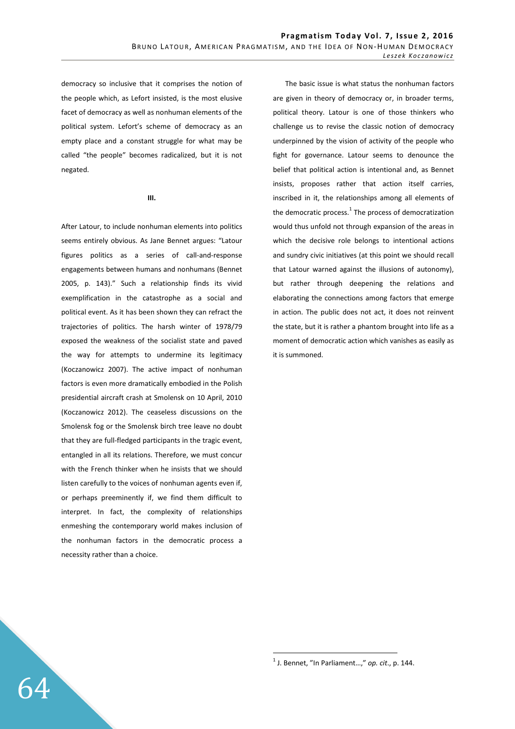democracy so inclusive that it comprises the notion of the people which, as Lefort insisted, is the most elusive facet of democracy as well as nonhuman elements of the political system. Lefort's scheme of democracy as an empty place and a constant struggle for what may be called "the people" becomes radicalized, but it is not negated.

**III.** 

After Latour, to include nonhuman elements into politics seems entirely obvious. As Jane Bennet argues: "Latour figures politics as a series of call-and-response engagements between humans and nonhumans (Bennet 2005, p. 143)." Such a relationship finds its vivid exemplification in the catastrophe as a social and political event. As it has been shown they can refract the trajectories of politics. The harsh winter of 1978/79 exposed the weakness of the socialist state and paved the way for attempts to undermine its legitimacy (Koczanowicz 2007). The active impact of nonhuman factors is even more dramatically embodied in the Polish presidential aircraft crash at Smolensk on 10 April, 2010 (Koczanowicz 2012). The ceaseless discussions on the Smolensk fog or the Smolensk birch tree leave no doubt that they are full-fledged participants in the tragic event, entangled in all its relations. Therefore, we must concur with the French thinker when he insists that we should listen carefully to the voices of nonhuman agents even if, or perhaps preeminently if, we find them difficult to interpret. In fact, the complexity of relationships enmeshing the contemporary world makes inclusion of the nonhuman factors in the democratic process a necessity rather than a choice.

The basic issue is what status the nonhuman factors are given in theory of democracy or, in broader terms, political theory. Latour is one of those thinkers who challenge us to revise the classic notion of democracy underpinned by the vision of activity of the people who fight for governance. Latour seems to denounce the belief that political action is intentional and, as Bennet insists, proposes rather that action itself carries, inscribed in it, the relationships among all elements of the democratic process.<sup>1</sup> The process of democratization would thus unfold not through expansion of the areas in which the decisive role belongs to intentional actions and sundry civic initiatives (at this point we should recall that Latour warned against the illusions of autonomy), but rather through deepening the relations and elaborating the connections among factors that emerge in action. The public does not act, it does not reinvent the state, but it is rather a phantom brought into life as a moment of democratic action which vanishes as easily as it is summoned.

 $\overline{a}$ 

<sup>1</sup> J. Bennet, "In Parliament…," *op. cit*., p. 144.